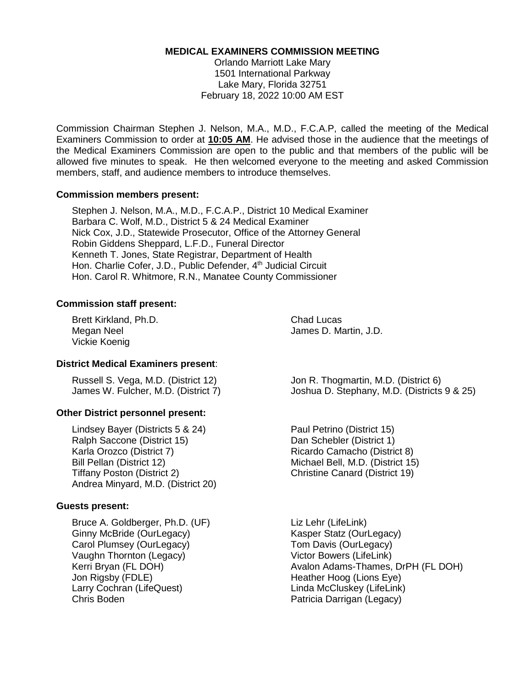#### **MEDICAL EXAMINERS COMMISSION MEETING**

Orlando Marriott Lake Mary 1501 International Parkway Lake Mary, Florida 32751 February 18, 2022 10:00 AM EST

Commission Chairman Stephen J. Nelson, M.A., M.D., F.C.A.P, called the meeting of the Medical Examiners Commission to order at **10:05 AM**. He advised those in the audience that the meetings of the Medical Examiners Commission are open to the public and that members of the public will be allowed five minutes to speak. He then welcomed everyone to the meeting and asked Commission members, staff, and audience members to introduce themselves.

#### **Commission members present:**

Stephen J. Nelson, M.A., M.D., F.C.A.P., District 10 Medical Examiner Barbara C. Wolf, M.D., District 5 & 24 Medical Examiner Nick Cox, J.D., Statewide Prosecutor, Office of the Attorney General Robin Giddens Sheppard, L.F.D., Funeral Director Kenneth T. Jones, State Registrar, Department of Health Hon. Charlie Cofer, J.D., Public Defender, 4<sup>th</sup> Judicial Circuit Hon. Carol R. Whitmore, R.N., Manatee County Commissioner

#### **Commission staff present:**

Brett Kirkland, Ph.D. Chad Lucas Vickie Koenig

Megan Neel **Internal Contract Contract Contract Contract Contract Contract Contract Contract Contract Contract Contract Contract Contract Contract Contract Contract Contract Contract Contract Contract Contract Contract Con** 

#### **District Medical Examiners present**:

Russell S. Vega, M.D. (District 12) Jon R. Thogmartin, M.D. (District 6)

#### **Other District personnel present:**

Lindsey Bayer (Districts 5 & 24) Paul Petrino (District 15) Ralph Saccone (District 15) Dan Schebler (District 1) Karla Orozco (District 7) The Ricardo Camacho (District 8) Bill Pellan (District 12) Michael Bell, M.D. (District 15) Tiffany Poston (District 2) Christine Canard (District 19) Andrea Minyard, M.D. (District 20)

#### **Guests present:**

Bruce A. Goldberger, Ph.D. (UF) Liz Lehr (LifeLink) Ginny McBride (OurLegacy) The Research Research Research Research Research Research Research Research Research Carol Plumsey (OurLegacy) Tom Davis (OurLegacy) Vaughn Thornton (Legacy) Victor Bowers (LifeLink) Jon Rigsby (FDLE) **Heather Hoog (Lions Eye)** Heather Hoog (Lions Eye) Larry Cochran (LifeQuest) Linda McCluskey (LifeLink) Chris Boden Patricia Darrigan (Legacy)

James W. Fulcher, M.D. (District 7) Joshua D. Stephany, M.D. (Districts 9 & 25)

Kerri Bryan (FL DOH) **Avalon Adams-Thames, DrPH (FL DOH)**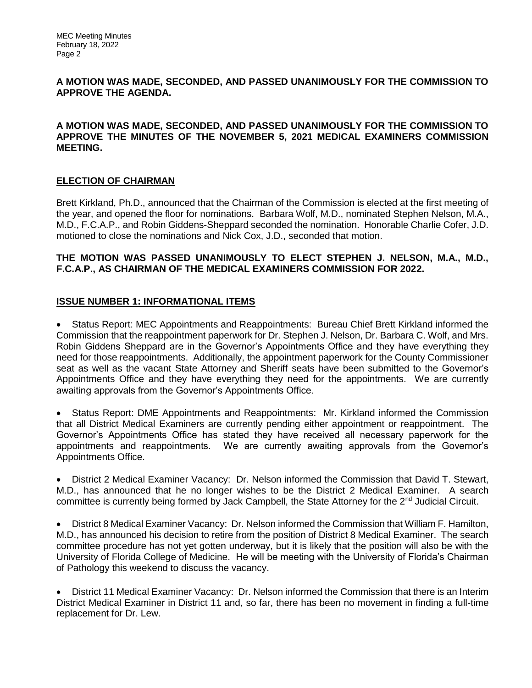## **A MOTION WAS MADE, SECONDED, AND PASSED UNANIMOUSLY FOR THE COMMISSION TO APPROVE THE AGENDA.**

## **A MOTION WAS MADE, SECONDED, AND PASSED UNANIMOUSLY FOR THE COMMISSION TO APPROVE THE MINUTES OF THE NOVEMBER 5, 2021 MEDICAL EXAMINERS COMMISSION MEETING.**

# **ELECTION OF CHAIRMAN**

Brett Kirkland, Ph.D., announced that the Chairman of the Commission is elected at the first meeting of the year, and opened the floor for nominations. Barbara Wolf, M.D., nominated Stephen Nelson, M.A., M.D., F.C.A.P., and Robin Giddens-Sheppard seconded the nomination. Honorable Charlie Cofer, J.D. motioned to close the nominations and Nick Cox, J.D., seconded that motion.

#### **THE MOTION WAS PASSED UNANIMOUSLY TO ELECT STEPHEN J. NELSON, M.A., M.D., F.C.A.P., AS CHAIRMAN OF THE MEDICAL EXAMINERS COMMISSION FOR 2022.**

#### **ISSUE NUMBER 1: INFORMATIONAL ITEMS**

• Status Report: MEC Appointments and Reappointments: Bureau Chief Brett Kirkland informed the Commission that the reappointment paperwork for Dr. Stephen J. Nelson, Dr. Barbara C. Wolf, and Mrs. Robin Giddens Sheppard are in the Governor's Appointments Office and they have everything they need for those reappointments. Additionally, the appointment paperwork for the County Commissioner seat as well as the vacant State Attorney and Sheriff seats have been submitted to the Governor's Appointments Office and they have everything they need for the appointments. We are currently awaiting approvals from the Governor's Appointments Office.

• Status Report: DME Appointments and Reappointments: Mr. Kirkland informed the Commission that all District Medical Examiners are currently pending either appointment or reappointment. The Governor's Appointments Office has stated they have received all necessary paperwork for the appointments and reappointments. We are currently awaiting approvals from the Governor's Appointments Office.

• District 2 Medical Examiner Vacancy: Dr. Nelson informed the Commission that David T. Stewart, M.D., has announced that he no longer wishes to be the District 2 Medical Examiner. A search committee is currently being formed by Jack Campbell, the State Attorney for the 2<sup>nd</sup> Judicial Circuit.

• District 8 Medical Examiner Vacancy: Dr. Nelson informed the Commission that William F. Hamilton, M.D., has announced his decision to retire from the position of District 8 Medical Examiner. The search committee procedure has not yet gotten underway, but it is likely that the position will also be with the University of Florida College of Medicine. He will be meeting with the University of Florida's Chairman of Pathology this weekend to discuss the vacancy.

• District 11 Medical Examiner Vacancy: Dr. Nelson informed the Commission that there is an Interim District Medical Examiner in District 11 and, so far, there has been no movement in finding a full-time replacement for Dr. Lew.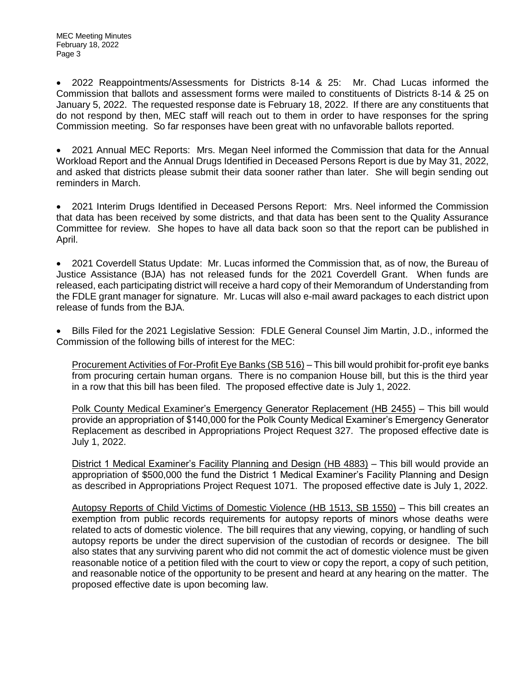• 2022 Reappointments/Assessments for Districts 8-14 & 25: Mr. Chad Lucas informed the Commission that ballots and assessment forms were mailed to constituents of Districts 8-14 & 25 on January 5, 2022. The requested response date is February 18, 2022. If there are any constituents that do not respond by then, MEC staff will reach out to them in order to have responses for the spring Commission meeting. So far responses have been great with no unfavorable ballots reported.

• 2021 Annual MEC Reports: Mrs. Megan Neel informed the Commission that data for the Annual Workload Report and the Annual Drugs Identified in Deceased Persons Report is due by May 31, 2022, and asked that districts please submit their data sooner rather than later. She will begin sending out reminders in March.

• 2021 Interim Drugs Identified in Deceased Persons Report: Mrs. Neel informed the Commission that data has been received by some districts, and that data has been sent to the Quality Assurance Committee for review. She hopes to have all data back soon so that the report can be published in April.

• 2021 Coverdell Status Update: Mr. Lucas informed the Commission that, as of now, the Bureau of Justice Assistance (BJA) has not released funds for the 2021 Coverdell Grant. When funds are released, each participating district will receive a hard copy of their Memorandum of Understanding from the FDLE grant manager for signature. Mr. Lucas will also e-mail award packages to each district upon release of funds from the BJA.

• Bills Filed for the 2021 Legislative Session: FDLE General Counsel Jim Martin, J.D., informed the Commission of the following bills of interest for the MEC:

Procurement Activities of For-Profit Eye Banks (SB 516) – This bill would prohibit for-profit eye banks from procuring certain human organs. There is no companion House bill, but this is the third year in a row that this bill has been filed. The proposed effective date is July 1, 2022.

Polk County Medical Examiner's Emergency Generator Replacement (HB 2455) – This bill would provide an appropriation of \$140,000 for the Polk County Medical Examiner's Emergency Generator Replacement as described in Appropriations Project Request 327. The proposed effective date is July 1, 2022.

District 1 Medical Examiner's Facility Planning and Design (HB 4883) – This bill would provide an appropriation of \$500,000 the fund the District 1 Medical Examiner's Facility Planning and Design as described in Appropriations Project Request 1071. The proposed effective date is July 1, 2022.

Autopsy Reports of Child Victims of Domestic Violence (HB 1513, SB 1550) – This bill creates an exemption from public records requirements for autopsy reports of minors whose deaths were related to acts of domestic violence. The bill requires that any viewing, copying, or handling of such autopsy reports be under the direct supervision of the custodian of records or designee. The bill also states that any surviving parent who did not commit the act of domestic violence must be given reasonable notice of a petition filed with the court to view or copy the report, a copy of such petition, and reasonable notice of the opportunity to be present and heard at any hearing on the matter. The proposed effective date is upon becoming law.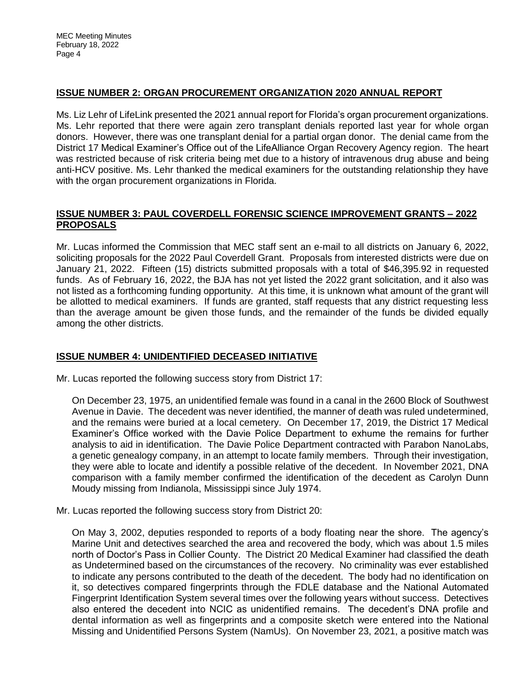# **ISSUE NUMBER 2: ORGAN PROCUREMENT ORGANIZATION 2020 ANNUAL REPORT**

Ms. Liz Lehr of LifeLink presented the 2021 annual report for Florida's organ procurement organizations. Ms. Lehr reported that there were again zero transplant denials reported last year for whole organ donors. However, there was one transplant denial for a partial organ donor. The denial came from the District 17 Medical Examiner's Office out of the LifeAlliance Organ Recovery Agency region. The heart was restricted because of risk criteria being met due to a history of intravenous drug abuse and being anti-HCV positive. Ms. Lehr thanked the medical examiners for the outstanding relationship they have with the organ procurement organizations in Florida.

## **ISSUE NUMBER 3: PAUL COVERDELL FORENSIC SCIENCE IMPROVEMENT GRANTS – 2022 PROPOSALS**

Mr. Lucas informed the Commission that MEC staff sent an e-mail to all districts on January 6, 2022, soliciting proposals for the 2022 Paul Coverdell Grant. Proposals from interested districts were due on January 21, 2022. Fifteen (15) districts submitted proposals with a total of \$46,395.92 in requested funds. As of February 16, 2022, the BJA has not yet listed the 2022 grant solicitation, and it also was not listed as a forthcoming funding opportunity. At this time, it is unknown what amount of the grant will be allotted to medical examiners. If funds are granted, staff requests that any district requesting less than the average amount be given those funds, and the remainder of the funds be divided equally among the other districts.

## **ISSUE NUMBER 4: UNIDENTIFIED DECEASED INITIATIVE**

Mr. Lucas reported the following success story from District 17:

On December 23, 1975, an unidentified female was found in a canal in the 2600 Block of Southwest Avenue in Davie. The decedent was never identified, the manner of death was ruled undetermined, and the remains were buried at a local cemetery. On December 17, 2019, the District 17 Medical Examiner's Office worked with the Davie Police Department to exhume the remains for further analysis to aid in identification. The Davie Police Department contracted with Parabon NanoLabs, a genetic genealogy company, in an attempt to locate family members. Through their investigation, they were able to locate and identify a possible relative of the decedent. In November 2021, DNA comparison with a family member confirmed the identification of the decedent as Carolyn Dunn Moudy missing from Indianola, Mississippi since July 1974.

Mr. Lucas reported the following success story from District 20:

On May 3, 2002, deputies responded to reports of a body floating near the shore. The agency's Marine Unit and detectives searched the area and recovered the body, which was about 1.5 miles north of Doctor's Pass in Collier County. The District 20 Medical Examiner had classified the death as Undetermined based on the circumstances of the recovery. No criminality was ever established to indicate any persons contributed to the death of the decedent. The body had no identification on it, so detectives compared fingerprints through the FDLE database and the National Automated Fingerprint Identification System several times over the following years without success. Detectives also entered the decedent into NCIC as unidentified remains. The decedent's DNA profile and dental information as well as fingerprints and a composite sketch were entered into the National Missing and Unidentified Persons System (NamUs). On November 23, 2021, a positive match was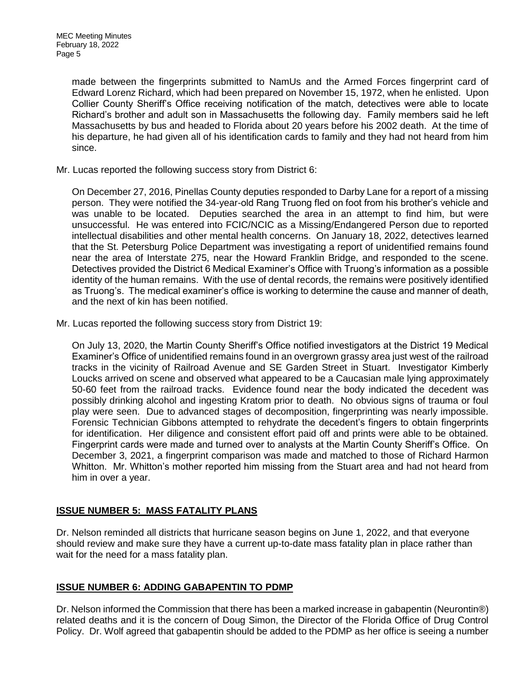made between the fingerprints submitted to NamUs and the Armed Forces fingerprint card of Edward Lorenz Richard, which had been prepared on November 15, 1972, when he enlisted. Upon Collier County Sheriff's Office receiving notification of the match, detectives were able to locate Richard's brother and adult son in Massachusetts the following day. Family members said he left Massachusetts by bus and headed to Florida about 20 years before his 2002 death. At the time of his departure, he had given all of his identification cards to family and they had not heard from him since.

Mr. Lucas reported the following success story from District 6:

On December 27, 2016, Pinellas County deputies responded to Darby Lane for a report of a missing person. They were notified the 34-year-old Rang Truong fled on foot from his brother's vehicle and was unable to be located. Deputies searched the area in an attempt to find him, but were unsuccessful. He was entered into FCIC/NCIC as a Missing/Endangered Person due to reported intellectual disabilities and other mental health concerns. On January 18, 2022, detectives learned that the St. Petersburg Police Department was investigating a report of unidentified remains found near the area of Interstate 275, near the Howard Franklin Bridge, and responded to the scene. Detectives provided the District 6 Medical Examiner's Office with Truong's information as a possible identity of the human remains. With the use of dental records, the remains were positively identified as Truong's. The medical examiner's office is working to determine the cause and manner of death, and the next of kin has been notified.

Mr. Lucas reported the following success story from District 19:

On July 13, 2020, the Martin County Sheriff's Office notified investigators at the District 19 Medical Examiner's Office of unidentified remains found in an overgrown grassy area just west of the railroad tracks in the vicinity of Railroad Avenue and SE Garden Street in Stuart. Investigator Kimberly Loucks arrived on scene and observed what appeared to be a Caucasian male lying approximately 50-60 feet from the railroad tracks. Evidence found near the body indicated the decedent was possibly drinking alcohol and ingesting Kratom prior to death. No obvious signs of trauma or foul play were seen. Due to advanced stages of decomposition, fingerprinting was nearly impossible. Forensic Technician Gibbons attempted to rehydrate the decedent's fingers to obtain fingerprints for identification. Her diligence and consistent effort paid off and prints were able to be obtained. Fingerprint cards were made and turned over to analysts at the Martin County Sheriff's Office. On December 3, 2021, a fingerprint comparison was made and matched to those of Richard Harmon Whitton. Mr. Whitton's mother reported him missing from the Stuart area and had not heard from him in over a year.

## **ISSUE NUMBER 5: MASS FATALITY PLANS**

Dr. Nelson reminded all districts that hurricane season begins on June 1, 2022, and that everyone should review and make sure they have a current up-to-date mass fatality plan in place rather than wait for the need for a mass fatality plan.

## **ISSUE NUMBER 6: ADDING GABAPENTIN TO PDMP**

Dr. Nelson informed the Commission that there has been a marked increase in gabapentin (Neurontin®) related deaths and it is the concern of Doug Simon, the Director of the Florida Office of Drug Control Policy. Dr. Wolf agreed that gabapentin should be added to the PDMP as her office is seeing a number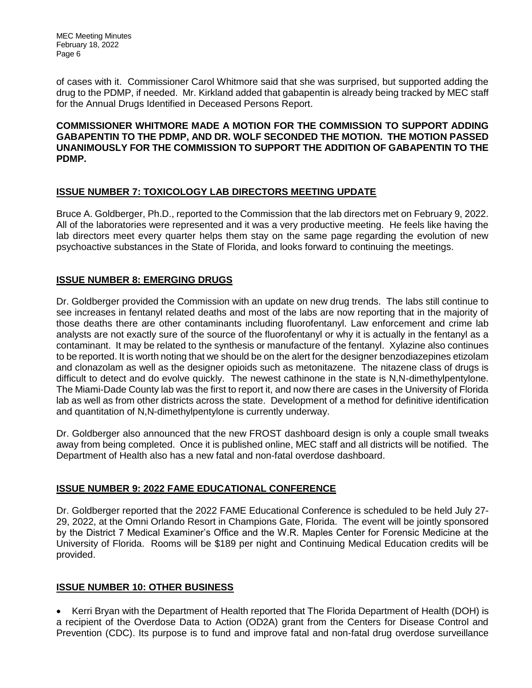MEC Meeting Minutes February 18, 2022 Page 6

of cases with it. Commissioner Carol Whitmore said that she was surprised, but supported adding the drug to the PDMP, if needed. Mr. Kirkland added that gabapentin is already being tracked by MEC staff for the Annual Drugs Identified in Deceased Persons Report.

**COMMISSIONER WHITMORE MADE A MOTION FOR THE COMMISSION TO SUPPORT ADDING GABAPENTIN TO THE PDMP, AND DR. WOLF SECONDED THE MOTION. THE MOTION PASSED UNANIMOUSLY FOR THE COMMISSION TO SUPPORT THE ADDITION OF GABAPENTIN TO THE PDMP.**

# **ISSUE NUMBER 7: TOXICOLOGY LAB DIRECTORS MEETING UPDATE**

Bruce A. Goldberger, Ph.D., reported to the Commission that the lab directors met on February 9, 2022. All of the laboratories were represented and it was a very productive meeting. He feels like having the lab directors meet every quarter helps them stay on the same page regarding the evolution of new psychoactive substances in the State of Florida, and looks forward to continuing the meetings.

# **ISSUE NUMBER 8: EMERGING DRUGS**

Dr. Goldberger provided the Commission with an update on new drug trends. The labs still continue to see increases in fentanyl related deaths and most of the labs are now reporting that in the majority of those deaths there are other contaminants including fluorofentanyl. Law enforcement and crime lab analysts are not exactly sure of the source of the fluorofentanyl or why it is actually in the fentanyl as a contaminant. It may be related to the synthesis or manufacture of the fentanyl. Xylazine also continues to be reported. It is worth noting that we should be on the alert for the designer benzodiazepines etizolam and clonazolam as well as the designer opioids such as metonitazene. The nitazene class of drugs is difficult to detect and do evolve quickly. The newest cathinone in the state is N,N-dimethylpentylone. The Miami-Dade County lab was the first to report it, and now there are cases in the University of Florida lab as well as from other districts across the state. Development of a method for definitive identification and quantitation of N,N-dimethylpentylone is currently underway.

Dr. Goldberger also announced that the new FROST dashboard design is only a couple small tweaks away from being completed. Once it is published online, MEC staff and all districts will be notified. The Department of Health also has a new fatal and non-fatal overdose dashboard.

## **ISSUE NUMBER 9: 2022 FAME EDUCATIONAL CONFERENCE**

Dr. Goldberger reported that the 2022 FAME Educational Conference is scheduled to be held July 27- 29, 2022, at the Omni Orlando Resort in Champions Gate, Florida. The event will be jointly sponsored by the District 7 Medical Examiner's Office and the W.R. Maples Center for Forensic Medicine at the University of Florida. Rooms will be \$189 per night and Continuing Medical Education credits will be provided.

## **ISSUE NUMBER 10: OTHER BUSINESS**

• Kerri Bryan with the Department of Health reported that The Florida Department of Health (DOH) is a recipient of the Overdose Data to Action (OD2A) grant from the Centers for Disease Control and Prevention (CDC). Its purpose is to fund and improve fatal and non-fatal drug overdose surveillance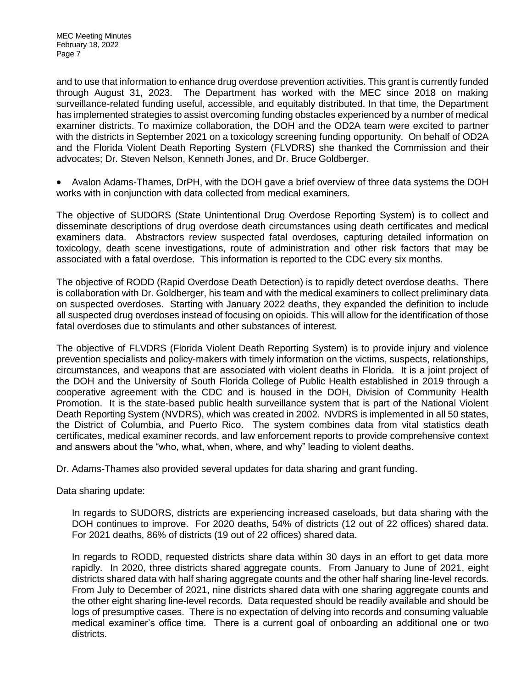MEC Meeting Minutes February 18, 2022 Page 7

and to use that information to enhance drug overdose prevention activities. This grant is currently funded through August 31, 2023. The Department has worked with the MEC since 2018 on making surveillance-related funding useful, accessible, and equitably distributed. In that time, the Department has implemented strategies to assist overcoming funding obstacles experienced by a number of medical examiner districts. To maximize collaboration, the DOH and the OD2A team were excited to partner with the districts in September 2021 on a toxicology screening funding opportunity. On behalf of OD2A and the Florida Violent Death Reporting System (FLVDRS) she thanked the Commission and their advocates; Dr. Steven Nelson, Kenneth Jones, and Dr. Bruce Goldberger.

• Avalon Adams-Thames, DrPH, with the DOH gave a brief overview of three data systems the DOH works with in conjunction with data collected from medical examiners.

The objective of SUDORS (State Unintentional Drug Overdose Reporting System) is to collect and disseminate descriptions of drug overdose death circumstances using death certificates and medical examiners data. Abstractors review suspected fatal overdoses, capturing detailed information on toxicology, death scene investigations, route of administration and other risk factors that may be associated with a fatal overdose. This information is reported to the CDC every six months.

The objective of RODD (Rapid Overdose Death Detection) is to rapidly detect overdose deaths. There is collaboration with Dr. Goldberger, his team and with the medical examiners to collect preliminary data on suspected overdoses. Starting with January 2022 deaths, they expanded the definition to include all suspected drug overdoses instead of focusing on opioids. This will allow for the identification of those fatal overdoses due to stimulants and other substances of interest.

The objective of FLVDRS (Florida Violent Death Reporting System) is to provide injury and violence prevention specialists and policy-makers with timely information on the victims, suspects, relationships, circumstances, and weapons that are associated with violent deaths in Florida. It is a joint project of the DOH and the University of South Florida College of Public Health established in 2019 through a cooperative agreement with the CDC and is housed in the DOH, Division of Community Health Promotion. It is the state-based public health surveillance system that is part of the National Violent Death Reporting System (NVDRS), which was created in 2002. NVDRS is implemented in all 50 states, the District of Columbia, and Puerto Rico. The system combines data from vital statistics death certificates, medical examiner records, and law enforcement reports to provide comprehensive context and answers about the "who, what, when, where, and why" leading to violent deaths.

Dr. Adams-Thames also provided several updates for data sharing and grant funding.

Data sharing update:

In regards to SUDORS, districts are experiencing increased caseloads, but data sharing with the DOH continues to improve. For 2020 deaths, 54% of districts (12 out of 22 offices) shared data. For 2021 deaths, 86% of districts (19 out of 22 offices) shared data.

In regards to RODD, requested districts share data within 30 days in an effort to get data more rapidly. In 2020, three districts shared aggregate counts. From January to June of 2021, eight districts shared data with half sharing aggregate counts and the other half sharing line-level records. From July to December of 2021, nine districts shared data with one sharing aggregate counts and the other eight sharing line-level records. Data requested should be readily available and should be logs of presumptive cases. There is no expectation of delving into records and consuming valuable medical examiner's office time. There is a current goal of onboarding an additional one or two districts.